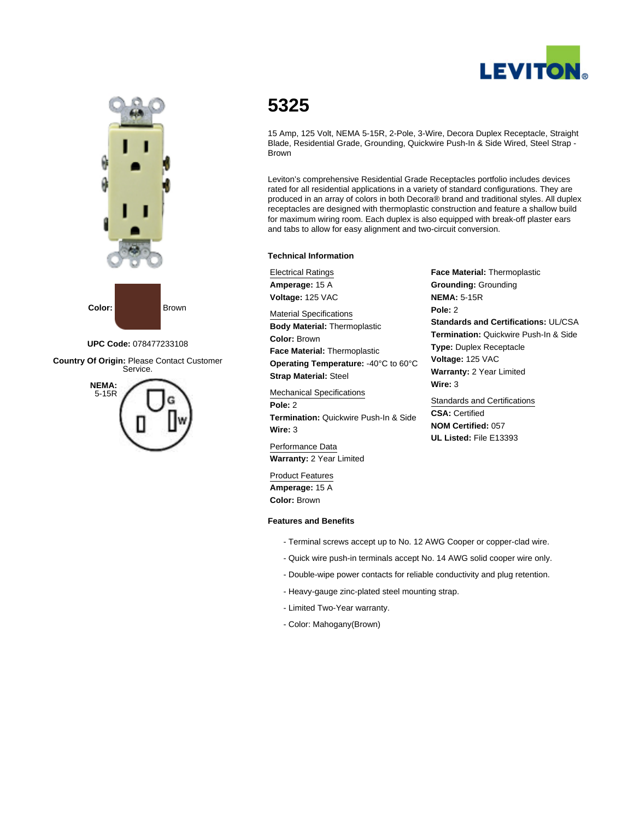



**UPC Code:** 078477233108

**Country Of Origin:** Please Contact Customer Service.



# **5325**

15 Amp, 125 Volt, NEMA 5-15R, 2-Pole, 3-Wire, Decora Duplex Receptacle, Straight Blade, Residential Grade, Grounding, Quickwire Push-In & Side Wired, Steel Strap - Brown

Leviton's comprehensive Residential Grade Receptacles portfolio includes devices rated for all residential applications in a variety of standard configurations. They are produced in an array of colors in both Decora® brand and traditional styles. All duplex receptacles are designed with thermoplastic construction and feature a shallow build for maximum wiring room. Each duplex is also equipped with break-off plaster ears and tabs to allow for easy alignment and two-circuit conversion.

#### **Technical Information**

#### Electrical Ratings

**Amperage:** 15 A **Voltage:** 125 VAC

#### Material Specifications

**Body Material:** Thermoplastic **Color:** Brown **Face Material:** Thermoplastic **Operating Temperature:** -40°C to 60°C **Strap Material:** Steel

Mechanical Specifications **Pole:** 2 **Termination:** Quickwire Push-In & Side **Wire:** 3

Performance Data **Warranty:** 2 Year Limited

Product Features **Amperage:** 15 A **Color:** Brown

#### **Features and Benefits**

- Terminal screws accept up to No. 12 AWG Cooper or copper-clad wire.
- Quick wire push-in terminals accept No. 14 AWG solid cooper wire only.
- Double-wipe power contacts for reliable conductivity and plug retention.
- Heavy-gauge zinc-plated steel mounting strap.
- Limited Two-Year warranty.
- Color: Mahogany(Brown)

**Face Material:** Thermoplastic **Grounding:** Grounding **NEMA:** 5-15R **Pole:** 2 **Standards and Certifications:** UL/CSA **Termination:** Quickwire Push-In & Side **Type:** Duplex Receptacle **Voltage:** 125 VAC **Warranty:** 2 Year Limited **Wire:** 3

Standards and Certifications **CSA:** Certified **NOM Certified:** 057 **UL Listed:** File E13393